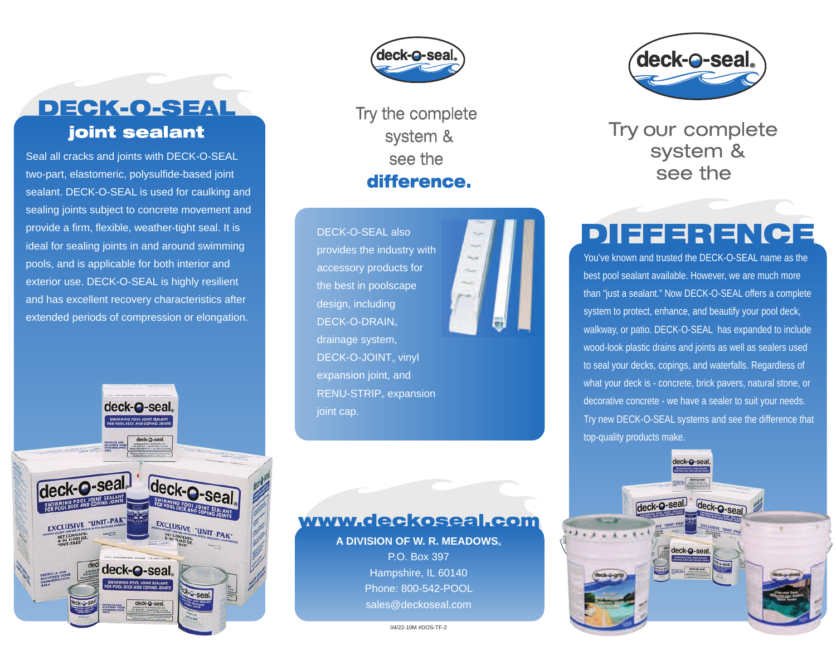

Seal all cracks and joints with DECK-O-SEAL two-part, elastomeric, polysulfide-based joint sealant. DECK-O-SEAL is used for caulking and sealing joints subject to concrete movement and provide a firm, flexible, weather-tight seal. It is ideal for sealing joints in and around swimming pools, and is applicable for both interior and exterior use. DECK-O-SEAL is highly resilient and has excellent recovery characteristics after extended periods of compression or elongation.





Try the complete system & see the difference.

DECK-O-SEAL also provides the industry with accessory products for the best in poolscape design, including DECK-O-DRAIN® drainage system, DECK-O-JOINT<sup>®</sup> vinyl expansion joint, and RENU-STRIP<sub>®</sub> expansion joint cap.





Try our complete system & see the

## DIFFERENCE

You've known and trusted the DECK-O-SEAL name as the best pool sealant available. However, we are much more than "just a sealant." Now DECK-O-SEAL offers a complete system to protect, enhance, and beautify your pool deck, walkway, or patio. DECK-O-SEAL has expanded to include wood-look plastic drains and joints as well as sealers used to seal your decks, copings, and waterfalls. Regardless of what your deck is - concrete, brick pavers, natural stone, or decorative concrete - we have a sealer to suit your needs. Try new DECK-O-SEAL systems and see the difference that top-quality products make.



04/22-10M #DOS-TF-2

**A DIVISION OF W. R. MEADOWS®** P.O. Box 397 Hampshire, IL 60140 Phone: 800-542-POOL sales@deckoseal.com

www.deckoseal.com